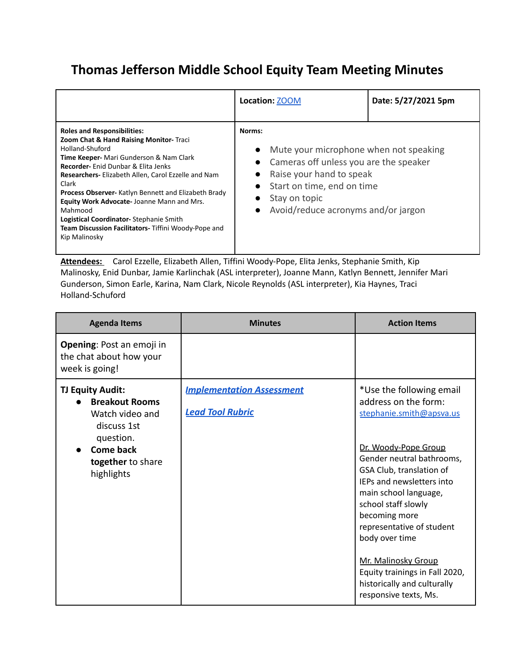## **Thomas Jefferson Middle School Equity Team Meeting Minutes**

|                                                                                                                                                                                                                                                                                                                                                                                                                                                                                                     | Location: <b>ZOOM</b>                                                                                                                                                                                                                                                           | Date: 5/27/2021 5pm |
|-----------------------------------------------------------------------------------------------------------------------------------------------------------------------------------------------------------------------------------------------------------------------------------------------------------------------------------------------------------------------------------------------------------------------------------------------------------------------------------------------------|---------------------------------------------------------------------------------------------------------------------------------------------------------------------------------------------------------------------------------------------------------------------------------|---------------------|
| <b>Roles and Responsibilities:</b><br>Zoom Chat & Hand Raising Monitor- Traci<br>Holland-Shuford<br>Time Keeper- Mari Gunderson & Nam Clark<br><b>Recorder-</b> Enid Dunbar & Elita Jenks<br>Researchers- Elizabeth Allen, Carol Ezzelle and Nam<br>Clark<br><b>Process Observer-</b> Katlyn Bennett and Elizabeth Brady<br>Equity Work Advocate-Joanne Mann and Mrs.<br>Mahmood<br>Logistical Coordinator-Stephanie Smith<br>Team Discussion Facilitators- Tiffini Woody-Pope and<br>Kip Malinosky | Norms:<br>Mute your microphone when not speaking<br>$\bullet$<br>• Cameras off unless you are the speaker<br>Raise your hand to speak<br>$\bullet$<br>Start on time, end on time<br>$\bullet$<br>Stay on topic<br>$\bullet$<br>Avoid/reduce acronyms and/or jargon<br>$\bullet$ |                     |

**Attendees:** Carol Ezzelle, Elizabeth Allen, Tiffini Woody-Pope, Elita Jenks, Stephanie Smith, Kip Malinosky, Enid Dunbar, Jamie Karlinchak (ASL interpreter), Joanne Mann, Katlyn Bennett, Jennifer Mari Gunderson, Simon Earle, Karina, Nam Clark, Nicole Reynolds (ASL interpreter), Kia Haynes, Traci Holland-Schuford

| <b>Agenda Items</b>                                                                                                                                    | <b>Minutes</b>                                              | <b>Action Items</b>                                                                                                                                                                                                                                                                                               |
|--------------------------------------------------------------------------------------------------------------------------------------------------------|-------------------------------------------------------------|-------------------------------------------------------------------------------------------------------------------------------------------------------------------------------------------------------------------------------------------------------------------------------------------------------------------|
| <b>Opening: Post an emoji in</b><br>the chat about how your<br>week is going!                                                                          |                                                             |                                                                                                                                                                                                                                                                                                                   |
| <b>TJ Equity Audit:</b><br><b>Breakout Rooms</b><br>Watch video and<br>discuss 1st<br>question.<br><b>Come back</b><br>together to share<br>highlights | <b>Implementation Assessment</b><br><b>Lead Tool Rubric</b> | *Use the following email<br>address on the form:<br>stephanie.smith@apsva.us<br>Dr. Woody-Pope Group<br>Gender neutral bathrooms,<br>GSA Club, translation of<br><b>IEPs and newsletters into</b><br>main school language,<br>school staff slowly<br>becoming more<br>representative of student<br>body over time |
|                                                                                                                                                        |                                                             | Mr. Malinosky Group<br>Equity trainings in Fall 2020,<br>historically and culturally<br>responsive texts, Ms.                                                                                                                                                                                                     |